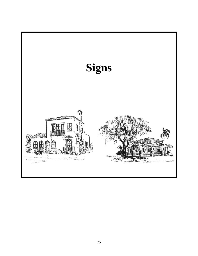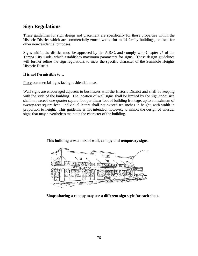## **Sign Regulations**

These guidelines for sign design and placement are specifically for those properties within the Historic District which are commercially zoned, zoned for multi-family buildings, or used for other non-residential purposes.

Signs within the district must be approved by the A.R.C. and comply with Chapter 27 of the Tampa City Code, which establishes maximum parameters for signs. These design guidelines will further refine the sign regulations to meet the specific character of the Seminole Heights Historic District.

### **It is not Permissible to…**

Place commercial signs facing residential areas.

Wall signs are encouraged adjacent to businesses with the Historic District and shall be keeping with the style of the building. The location of wall signs shall be limited by the sign code; size shall not exceed one-quarter square foot per linear foot of building frontage, up to a maximum of twenty-feet square feet. Individual letters shall not exceed ten inches in height, with width in proportion to height. This guideline is not intended, however, to inhibit the design of unusual signs that may nevertheless maintain the character of the building.



## **This building uses a mix of wall, canopy and temporary signs.**

**Shops sharing a canopy may use a different sign style for each shop.**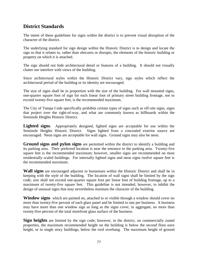# **District Standards**

The intent of these guidelines for signs within the district is to prevent visual disruption of the character of the district.

The underlying standard for sign design within the Historic District is to design and locate the sign so that it relates to, rather than obscures or disrupts, the elements of the historic building or property on which it is attached.

The sign should not hide architectural detail or features of a building. It should not visually clutter nor interfere with views of the building.

Since architectural styles within the Historic District vary, sign styles which reflect the architectural period of the building or its identity are encouraged.

The size of signs shall be in proportion with the size of the building. For wall mounted signs, one-quarter square foot of sign for each linear foot of primary street building frontage, not to exceed twenty-five square feet, is the recommended maximum.

The City of Tampa Code specifically prohibits certain types of signs such as off-site signs, signs that project over the right-of-way, and what are commonly known as billboards within the Seminole Heights Historic District.

Lighted signs. Appropriately designed, lighted signs are acceptable for use within the Seminole Heights Historic District. Signs lighted from a concealed exterior source are encouraged. Neon signs are acceptable for wall signs. Ground signs may also be neon.

**Ground signs and pylon signs** are permitted within the district to identify a building and its parking area. Their preferred location is near the entrance to the parking area. Twenty-five square feet is the recommended maximum; however, smaller signs are recommended on most residentially scaled buildings. For internally lighted signs and neon signs twelve square feet is the recommended maximum.

**Wall signs** are encouraged adjacent to businesses within the Historic District and shall be in keeping with the style of the building. The location of wall signs shall be limited by the sign code; size shall not exceed one-quarter square foot per linear foot of building frontage, up to a maximum of twenty-five square feet. This guideline is not intended, however, to inhibit the design of unusual signs that may nevertheless maintain the character of the building.

**Window signs** which are painted on, attached to or visible through a window should cover no more than twenty-five percent of each glass panel and be limited to one per business. A business may have more than one window sign as long as the signs cover, in aggregate, no more than twenty-five percent of the total storefront glass surface of the business.

**Sign heights** are limited by the sign code; however, in the district, on commercially zoned properties, the maximum recommended height on the building is below the second floor eave height, or in single story buildings, below the roof overhang. The maximum height of ground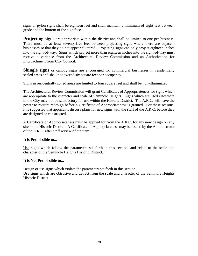signs or pylon signs shall be eighteen feet and shall maintain a minimum of eight feet between grade and the bottom of the sign face.

**Projecting signs** are appropriate within the district and shall be limited to one per business. There must be at least seventy-five feet between projecting signs where there are adjacent businesses so that they do not appear cluttered. Projecting signs can only project eighteen inches into the right-of-way. Signs which project more than eighteen inches into the right-of-way must receive a variance from the Architectural Review Commission and an Authorization for Encroachment from City Council.

Shingle signs or canopy signs are encouraged for commercial businesses in residentially scaled areas and shall not exceed six square feet per occupancy.

Signs in residentially zoned areas are limited to four square feet and shall be non-illuminated.

The Architectural Review Commission will grant Certificates of Appropriateness for signs which are appropriate to the character and scale of Seminole Heights. Signs which are used elsewhere in the City may not be satisfactory for use within the Historic District. The A.R.C. will have the power to require redesign before a Certificate of Appropriateness is granted. For these reasons, it is suggested that applicants discuss plans for new signs with the staff of the A.R.C. before they are designed or constructed.

A Certificate of Appropriateness must be applied for from the A.R.C. for any new design on any site in the Historic District. A Certificate of Appropriateness may be issued by the Administrator of the A.R.C. after staff review of the item.

## **It is Permissible to...**

Use signs which follow the parameters set forth in this section, and relate to the scale and character of the Seminole Heights Historic District.

#### **It is Not Permissible to...**

Design or use signs which violate the parameters set forth in this section.

Use signs which are obtrusive and detract from the scale and character of the Seminole Heights Historic District.